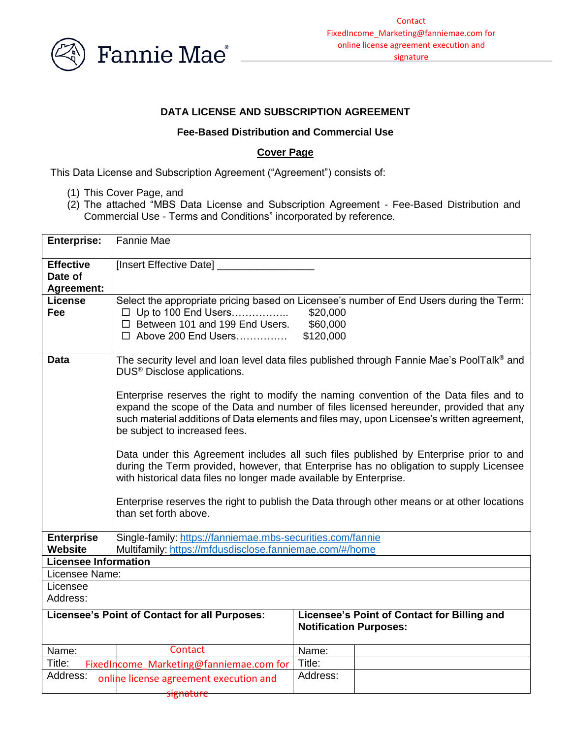

#### **DATA LICENSE AND SUBSCRIPTION AGREEMENT**

#### **Fee-Based Distribution and Commercial Use**

#### **Cover Page**

This Data License and Subscription Agreement ("Agreement") consists of:

- (1) This Cover Page, and
- (2) The attached "MBS Data License and Subscription Agreement Fee-Based Distribution and Commercial Use - Terms and Conditions" incorporated by reference.

| <b>Enterprise:</b>          | Fannie Mae                                                                                                                                                                        |                                             |  |  |  |
|-----------------------------|-----------------------------------------------------------------------------------------------------------------------------------------------------------------------------------|---------------------------------------------|--|--|--|
| <b>Effective</b>            | [Insert Effective Date] _                                                                                                                                                         |                                             |  |  |  |
| Date of                     |                                                                                                                                                                                   |                                             |  |  |  |
| <b>Agreement:</b>           |                                                                                                                                                                                   |                                             |  |  |  |
| <b>License</b>              | Select the appropriate pricing based on Licensee's number of End Users during the Term:                                                                                           |                                             |  |  |  |
| Fee                         | □ Up to 100 End Users<br>\$20,000                                                                                                                                                 |                                             |  |  |  |
|                             | □ Between 101 and 199 End Users.<br>\$60,000                                                                                                                                      |                                             |  |  |  |
|                             | □ Above 200 End Users                                                                                                                                                             | \$120,000                                   |  |  |  |
| <b>Data</b>                 | The security level and loan level data files published through Fannie Mae's PoolTalk <sup>®</sup> and                                                                             |                                             |  |  |  |
|                             | DUS <sup>®</sup> Disclose applications.                                                                                                                                           |                                             |  |  |  |
|                             |                                                                                                                                                                                   |                                             |  |  |  |
|                             | Enterprise reserves the right to modify the naming convention of the Data files and to                                                                                            |                                             |  |  |  |
|                             | expand the scope of the Data and number of files licensed hereunder, provided that any                                                                                            |                                             |  |  |  |
|                             | such material additions of Data elements and files may, upon Licensee's written agreement,                                                                                        |                                             |  |  |  |
|                             | be subject to increased fees.                                                                                                                                                     |                                             |  |  |  |
|                             |                                                                                                                                                                                   |                                             |  |  |  |
|                             | Data under this Agreement includes all such files published by Enterprise prior to and<br>during the Term provided, however, that Enterprise has no obligation to supply Licensee |                                             |  |  |  |
|                             | with historical data files no longer made available by Enterprise.                                                                                                                |                                             |  |  |  |
|                             |                                                                                                                                                                                   |                                             |  |  |  |
|                             | Enterprise reserves the right to publish the Data through other means or at other locations                                                                                       |                                             |  |  |  |
|                             | than set forth above.                                                                                                                                                             |                                             |  |  |  |
|                             |                                                                                                                                                                                   |                                             |  |  |  |
| <b>Enterprise</b>           | Single-family: https://fanniemae.mbs-securities.com/fannie                                                                                                                        |                                             |  |  |  |
| Website                     | Multifamily: https://mfdusdisclose.fanniemae.com/#/home                                                                                                                           |                                             |  |  |  |
| <b>Licensee Information</b> |                                                                                                                                                                                   |                                             |  |  |  |
| Licensee Name:              |                                                                                                                                                                                   |                                             |  |  |  |
| Licensee<br>Address:        |                                                                                                                                                                                   |                                             |  |  |  |
|                             |                                                                                                                                                                                   |                                             |  |  |  |
|                             | Licensee's Point of Contact for all Purposes:                                                                                                                                     | Licensee's Point of Contact for Billing and |  |  |  |
|                             |                                                                                                                                                                                   | <b>Notification Purposes:</b>               |  |  |  |
| Name:                       | Contact                                                                                                                                                                           | Name:                                       |  |  |  |
| Title:                      | FixedIncome Marketing@fanniemae.com for                                                                                                                                           | Title:                                      |  |  |  |
| Address:                    |                                                                                                                                                                                   | Address:                                    |  |  |  |
|                             | online license agreement execution and                                                                                                                                            |                                             |  |  |  |
|                             | <del>signature</del>                                                                                                                                                              |                                             |  |  |  |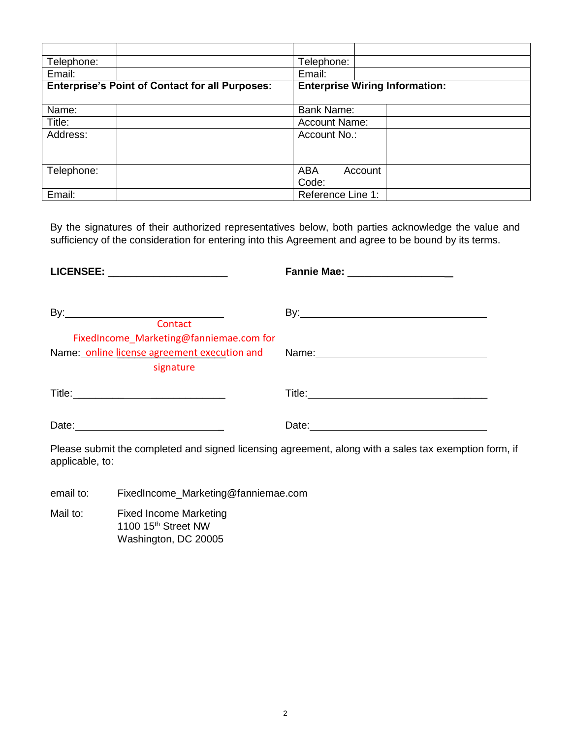| Telephone:                                             |  | Telephone:                            |  |
|--------------------------------------------------------|--|---------------------------------------|--|
| Email:                                                 |  | Email:                                |  |
| <b>Enterprise's Point of Contact for all Purposes:</b> |  | <b>Enterprise Wiring Information:</b> |  |
|                                                        |  |                                       |  |
| Name:                                                  |  | <b>Bank Name:</b>                     |  |
| Title:                                                 |  | <b>Account Name:</b>                  |  |
| Address:                                               |  | Account No.:                          |  |
|                                                        |  |                                       |  |
|                                                        |  |                                       |  |
| Telephone:                                             |  | <b>ABA</b><br>Account                 |  |
|                                                        |  | Code:                                 |  |
| Email:                                                 |  | Reference Line 1:                     |  |

By the signatures of their authorized representatives below, both parties acknowledge the value and sufficiency of the consideration for entering into this Agreement and agree to be bound by its terms.

| LICENSEE: ______________________                                                                     | Fannie Mae: ___________________ |
|------------------------------------------------------------------------------------------------------|---------------------------------|
| Contact                                                                                              |                                 |
| FixedIncome_Marketing@fanniemae.com for<br>Name: online license agreement execution and<br>signature |                                 |
|                                                                                                      |                                 |
| Date: <u>____________________________</u>                                                            |                                 |

Please submit the completed and signed licensing agreement, along with a sales tax exemption form, if applicable, to:

email to: FixedIncome\_Marketing@fanniemae.com

Mail to: Fixed Income Marketing 1100 15<sup>th</sup> Street NW Washington, DC 20005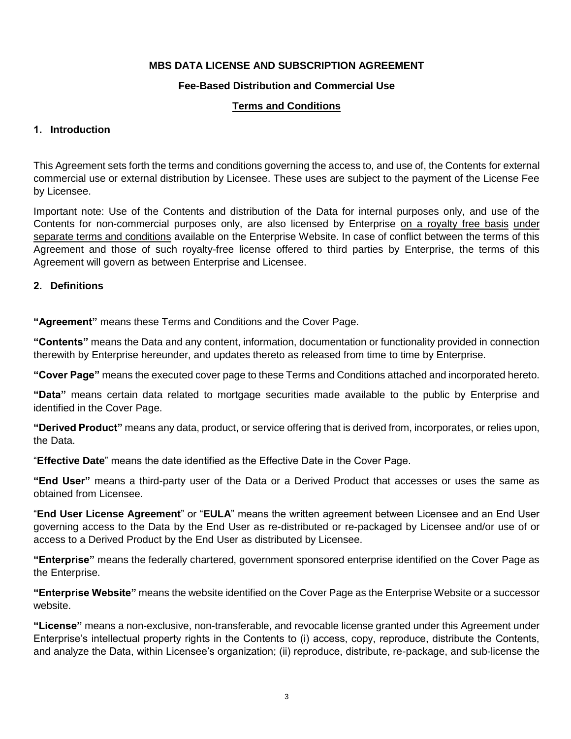### **MBS DATA LICENSE AND SUBSCRIPTION AGREEMENT**

### **Fee-Based Distribution and Commercial Use**

#### **Terms and Conditions**

#### **1. Introduction**

This Agreement sets forth the terms and conditions governing the access to, and use of, the Contents for external commercial use or external distribution by Licensee. These uses are subject to the payment of the License Fee by Licensee.

Important note: Use of the Contents and distribution of the Data for internal purposes only, and use of the Contents for non-commercial purposes only, are also licensed by Enterprise on a royalty free basis under separate terms and conditions available on the Enterprise Website. In case of conflict between the terms of this Agreement and those of such royalty-free license offered to third parties by Enterprise, the terms of this Agreement will govern as between Enterprise and Licensee.

#### **2. Definitions**

**"Agreement"** means these Terms and Conditions and the Cover Page.

**"Contents"** means the Data and any content, information, documentation or functionality provided in connection therewith by Enterprise hereunder, and updates thereto as released from time to time by Enterprise.

**"Cover Page"** means the executed cover page to these Terms and Conditions attached and incorporated hereto.

**"Data"** means certain data related to mortgage securities made available to the public by Enterprise and identified in the Cover Page.

**"Derived Product"** means any data, product, or service offering that is derived from, incorporates, or relies upon, the Data.

"**Effective Date**" means the date identified as the Effective Date in the Cover Page.

**"End User"** means a third-party user of the Data or a Derived Product that accesses or uses the same as obtained from Licensee.

"**End User License Agreement**" or "**EULA**" means the written agreement between Licensee and an End User governing access to the Data by the End User as re-distributed or re-packaged by Licensee and/or use of or access to a Derived Product by the End User as distributed by Licensee.

**"Enterprise"** means the federally chartered, government sponsored enterprise identified on the Cover Page as the Enterprise.

**"Enterprise Website"** means the website identified on the Cover Page as the Enterprise Website or a successor website.

**"License"** means a non-exclusive, non-transferable, and revocable license granted under this Agreement under Enterprise's intellectual property rights in the Contents to (i) access, copy, reproduce, distribute the Contents, and analyze the Data, within Licensee's organization; (ii) reproduce, distribute, re-package, and sub-license the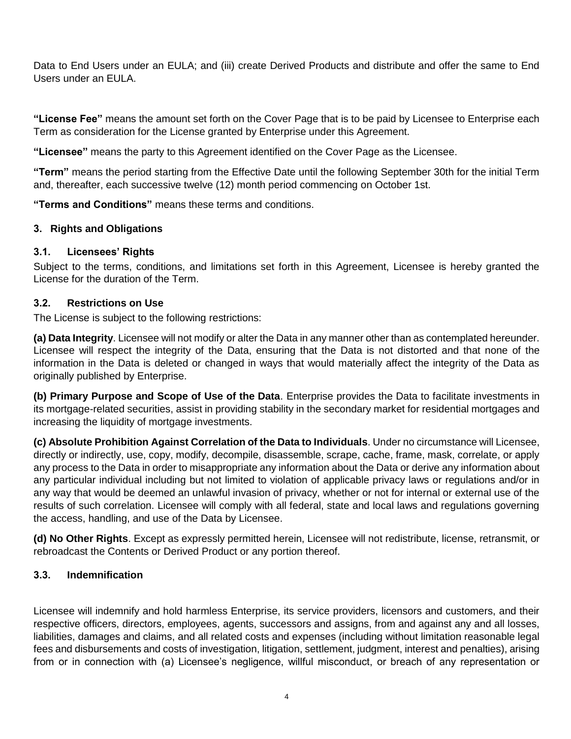Data to End Users under an EULA; and (iii) create Derived Products and distribute and offer the same to End Users under an EULA.

**"License Fee"** means the amount set forth on the Cover Page that is to be paid by Licensee to Enterprise each Term as consideration for the License granted by Enterprise under this Agreement.

**"Licensee"** means the party to this Agreement identified on the Cover Page as the Licensee.

**"Term"** means the period starting from the Effective Date until the following September 30th for the initial Term and, thereafter, each successive twelve (12) month period commencing on October 1st.

**"Terms and Conditions"** means these terms and conditions.

## **3. Rights and Obligations**

### **3.1. Licensees' Rights**

Subject to the terms, conditions, and limitations set forth in this Agreement, Licensee is hereby granted the License for the duration of the Term.

### **3.2. Restrictions on Use**

The License is subject to the following restrictions:

**(a) Data Integrity**. Licensee will not modify or alter the Data in any manner other than as contemplated hereunder. Licensee will respect the integrity of the Data, ensuring that the Data is not distorted and that none of the information in the Data is deleted or changed in ways that would materially affect the integrity of the Data as originally published by Enterprise.

**(b) Primary Purpose and Scope of Use of the Data**. Enterprise provides the Data to facilitate investments in its mortgage-related securities, assist in providing stability in the secondary market for residential mortgages and increasing the liquidity of mortgage investments.

**(c) Absolute Prohibition Against Correlation of the Data to Individuals**. Under no circumstance will Licensee, directly or indirectly, use, copy, modify, decompile, disassemble, scrape, cache, frame, mask, correlate, or apply any process to the Data in order to misappropriate any information about the Data or derive any information about any particular individual including but not limited to violation of applicable privacy laws or regulations and/or in any way that would be deemed an unlawful invasion of privacy, whether or not for internal or external use of the results of such correlation. Licensee will comply with all federal, state and local laws and regulations governing the access, handling, and use of the Data by Licensee.

**(d) No Other Rights**. Except as expressly permitted herein, Licensee will not redistribute, license, retransmit, or rebroadcast the Contents or Derived Product or any portion thereof.

# **3.3. Indemnification**

Licensee will indemnify and hold harmless Enterprise, its service providers, licensors and customers, and their respective officers, directors, employees, agents, successors and assigns, from and against any and all losses, liabilities, damages and claims, and all related costs and expenses (including without limitation reasonable legal fees and disbursements and costs of investigation, litigation, settlement, judgment, interest and penalties), arising from or in connection with (a) Licensee's negligence, willful misconduct, or breach of any representation or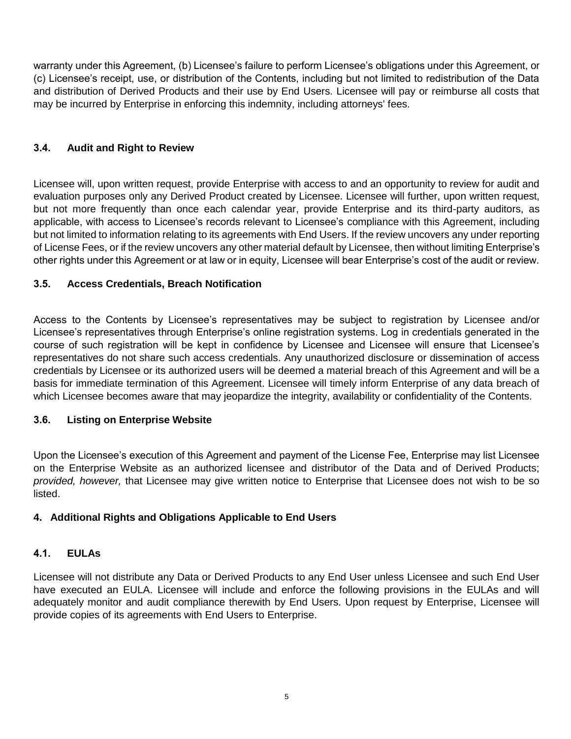warranty under this Agreement, (b) Licensee's failure to perform Licensee's obligations under this Agreement, or (c) Licensee's receipt, use, or distribution of the Contents, including but not limited to redistribution of the Data and distribution of Derived Products and their use by End Users. Licensee will pay or reimburse all costs that may be incurred by Enterprise in enforcing this indemnity, including attorneys' fees.

## **3.4. Audit and Right to Review**

Licensee will, upon written request, provide Enterprise with access to and an opportunity to review for audit and evaluation purposes only any Derived Product created by Licensee. Licensee will further, upon written request, but not more frequently than once each calendar year, provide Enterprise and its third-party auditors, as applicable, with access to Licensee's records relevant to Licensee's compliance with this Agreement, including but not limited to information relating to its agreements with End Users. If the review uncovers any under reporting of License Fees, or if the review uncovers any other material default by Licensee, then without limiting Enterprise's other rights under this Agreement or at law or in equity, Licensee will bear Enterprise's cost of the audit or review.

## **3.5. Access Credentials, Breach Notification**

Access to the Contents by Licensee's representatives may be subject to registration by Licensee and/or Licensee's representatives through Enterprise's online registration systems. Log in credentials generated in the course of such registration will be kept in confidence by Licensee and Licensee will ensure that Licensee's representatives do not share such access credentials. Any unauthorized disclosure or dissemination of access credentials by Licensee or its authorized users will be deemed a material breach of this Agreement and will be a basis for immediate termination of this Agreement. Licensee will timely inform Enterprise of any data breach of which Licensee becomes aware that may jeopardize the integrity, availability or confidentiality of the Contents.

### **3.6. Listing on Enterprise Website**

Upon the Licensee's execution of this Agreement and payment of the License Fee, Enterprise may list Licensee on the Enterprise Website as an authorized licensee and distributor of the Data and of Derived Products; *provided, however,* that Licensee may give written notice to Enterprise that Licensee does not wish to be so listed.

### **4. Additional Rights and Obligations Applicable to End Users**

### **4.1. EULAs**

Licensee will not distribute any Data or Derived Products to any End User unless Licensee and such End User have executed an EULA. Licensee will include and enforce the following provisions in the EULAs and will adequately monitor and audit compliance therewith by End Users. Upon request by Enterprise, Licensee will provide copies of its agreements with End Users to Enterprise.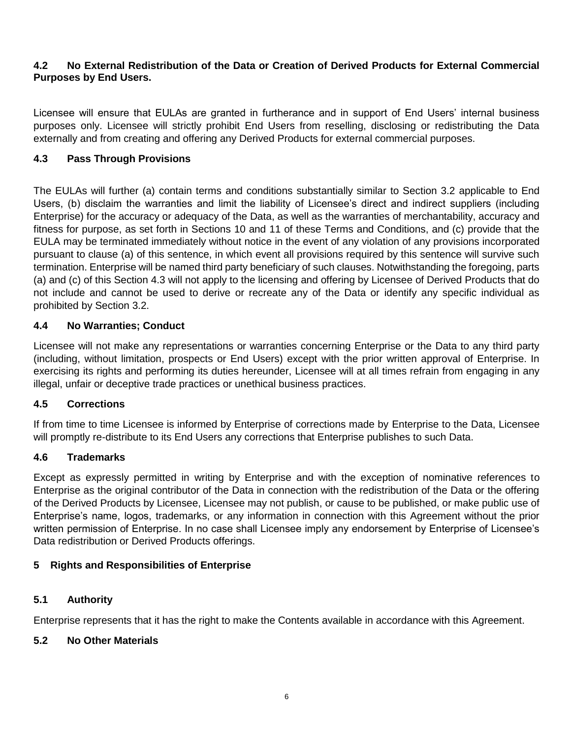### **4.2 No External Redistribution of the Data or Creation of Derived Products for External Commercial Purposes by End Users.**

Licensee will ensure that EULAs are granted in furtherance and in support of End Users' internal business purposes only. Licensee will strictly prohibit End Users from reselling, disclosing or redistributing the Data externally and from creating and offering any Derived Products for external commercial purposes.

# **4.3 Pass Through Provisions**

The EULAs will further (a) contain terms and conditions substantially similar to Section 3.2 applicable to End Users, (b) disclaim the warranties and limit the liability of Licensee's direct and indirect suppliers (including Enterprise) for the accuracy or adequacy of the Data, as well as the warranties of merchantability, accuracy and fitness for purpose, as set forth in Sections 10 and 11 of these Terms and Conditions, and (c) provide that the EULA may be terminated immediately without notice in the event of any violation of any provisions incorporated pursuant to clause (a) of this sentence, in which event all provisions required by this sentence will survive such termination. Enterprise will be named third party beneficiary of such clauses. Notwithstanding the foregoing, parts (a) and (c) of this Section 4.3 will not apply to the licensing and offering by Licensee of Derived Products that do not include and cannot be used to derive or recreate any of the Data or identify any specific individual as prohibited by Section 3.2.

## **4.4 No Warranties; Conduct**

Licensee will not make any representations or warranties concerning Enterprise or the Data to any third party (including, without limitation, prospects or End Users) except with the prior written approval of Enterprise. In exercising its rights and performing its duties hereunder, Licensee will at all times refrain from engaging in any illegal, unfair or deceptive trade practices or unethical business practices.

### **4.5 Corrections**

If from time to time Licensee is informed by Enterprise of corrections made by Enterprise to the Data, Licensee will promptly re-distribute to its End Users any corrections that Enterprise publishes to such Data.

### **4.6 Trademarks**

Except as expressly permitted in writing by Enterprise and with the exception of nominative references to Enterprise as the original contributor of the Data in connection with the redistribution of the Data or the offering of the Derived Products by Licensee, Licensee may not publish, or cause to be published, or make public use of Enterprise's name, logos, trademarks, or any information in connection with this Agreement without the prior written permission of Enterprise. In no case shall Licensee imply any endorsement by Enterprise of Licensee's Data redistribution or Derived Products offerings.

# **5 Rights and Responsibilities of Enterprise**

# **5.1 Authority**

Enterprise represents that it has the right to make the Contents available in accordance with this Agreement.

# **5.2 No Other Materials**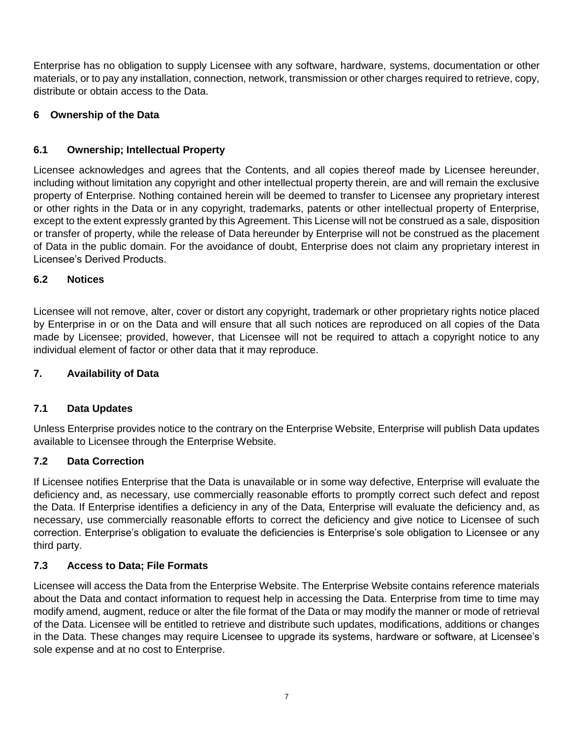Enterprise has no obligation to supply Licensee with any software, hardware, systems, documentation or other materials, or to pay any installation, connection, network, transmission or other charges required to retrieve, copy, distribute or obtain access to the Data.

# **6 Ownership of the Data**

# **6.1 Ownership; Intellectual Property**

Licensee acknowledges and agrees that the Contents, and all copies thereof made by Licensee hereunder, including without limitation any copyright and other intellectual property therein, are and will remain the exclusive property of Enterprise. Nothing contained herein will be deemed to transfer to Licensee any proprietary interest or other rights in the Data or in any copyright, trademarks, patents or other intellectual property of Enterprise, except to the extent expressly granted by this Agreement. This License will not be construed as a sale, disposition or transfer of property, while the release of Data hereunder by Enterprise will not be construed as the placement of Data in the public domain. For the avoidance of doubt, Enterprise does not claim any proprietary interest in Licensee's Derived Products.

# **6.2 Notices**

Licensee will not remove, alter, cover or distort any copyright, trademark or other proprietary rights notice placed by Enterprise in or on the Data and will ensure that all such notices are reproduced on all copies of the Data made by Licensee; provided, however, that Licensee will not be required to attach a copyright notice to any individual element of factor or other data that it may reproduce.

# **7. Availability of Data**

# **7.1 Data Updates**

Unless Enterprise provides notice to the contrary on the Enterprise Website, Enterprise will publish Data updates available to Licensee through the Enterprise Website.

# **7.2 Data Correction**

If Licensee notifies Enterprise that the Data is unavailable or in some way defective, Enterprise will evaluate the deficiency and, as necessary, use commercially reasonable efforts to promptly correct such defect and repost the Data. If Enterprise identifies a deficiency in any of the Data, Enterprise will evaluate the deficiency and, as necessary, use commercially reasonable efforts to correct the deficiency and give notice to Licensee of such correction. Enterprise's obligation to evaluate the deficiencies is Enterprise's sole obligation to Licensee or any third party.

# **7.3 Access to Data; File Formats**

Licensee will access the Data from the Enterprise Website. The Enterprise Website contains reference materials about the Data and contact information to request help in accessing the Data. Enterprise from time to time may modify amend, augment, reduce or alter the file format of the Data or may modify the manner or mode of retrieval of the Data. Licensee will be entitled to retrieve and distribute such updates, modifications, additions or changes in the Data. These changes may require Licensee to upgrade its systems, hardware or software, at Licensee's sole expense and at no cost to Enterprise.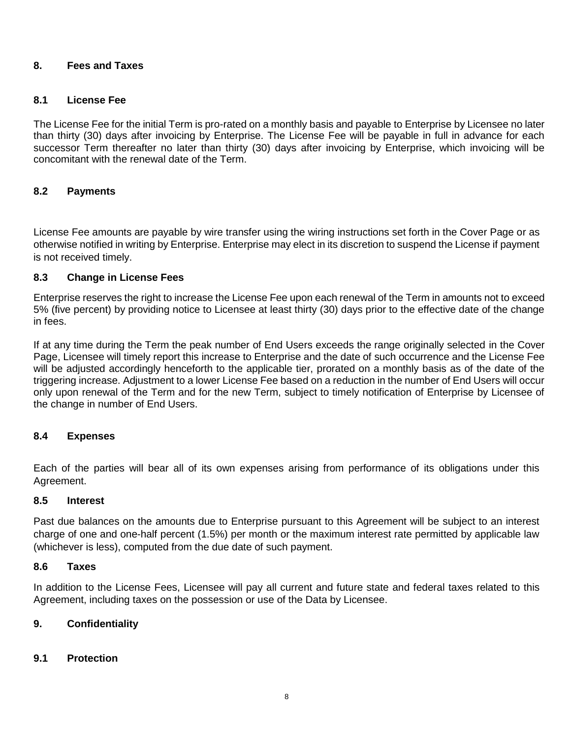#### **8. Fees and Taxes**

#### **8.1 License Fee**

The License Fee for the initial Term is pro-rated on a monthly basis and payable to Enterprise by Licensee no later than thirty (30) days after invoicing by Enterprise. The License Fee will be payable in full in advance for each successor Term thereafter no later than thirty (30) days after invoicing by Enterprise, which invoicing will be concomitant with the renewal date of the Term.

### **8.2 Payments**

License Fee amounts are payable by wire transfer using the wiring instructions set forth in the Cover Page or as otherwise notified in writing by Enterprise. Enterprise may elect in its discretion to suspend the License if payment is not received timely.

#### **8.3 Change in License Fees**

Enterprise reserves the right to increase the License Fee upon each renewal of the Term in amounts not to exceed 5% (five percent) by providing notice to Licensee at least thirty (30) days prior to the effective date of the change in fees.

If at any time during the Term the peak number of End Users exceeds the range originally selected in the Cover Page, Licensee will timely report this increase to Enterprise and the date of such occurrence and the License Fee will be adjusted accordingly henceforth to the applicable tier, prorated on a monthly basis as of the date of the triggering increase. Adjustment to a lower License Fee based on a reduction in the number of End Users will occur only upon renewal of the Term and for the new Term, subject to timely notification of Enterprise by Licensee of the change in number of End Users.

#### **8.4 Expenses**

Each of the parties will bear all of its own expenses arising from performance of its obligations under this Agreement.

#### **8.5 Interest**

Past due balances on the amounts due to Enterprise pursuant to this Agreement will be subject to an interest charge of one and one-half percent (1.5%) per month or the maximum interest rate permitted by applicable law (whichever is less), computed from the due date of such payment.

#### **8.6 Taxes**

In addition to the License Fees, Licensee will pay all current and future state and federal taxes related to this Agreement, including taxes on the possession or use of the Data by Licensee.

#### **9. Confidentiality**

#### **9.1 Protection**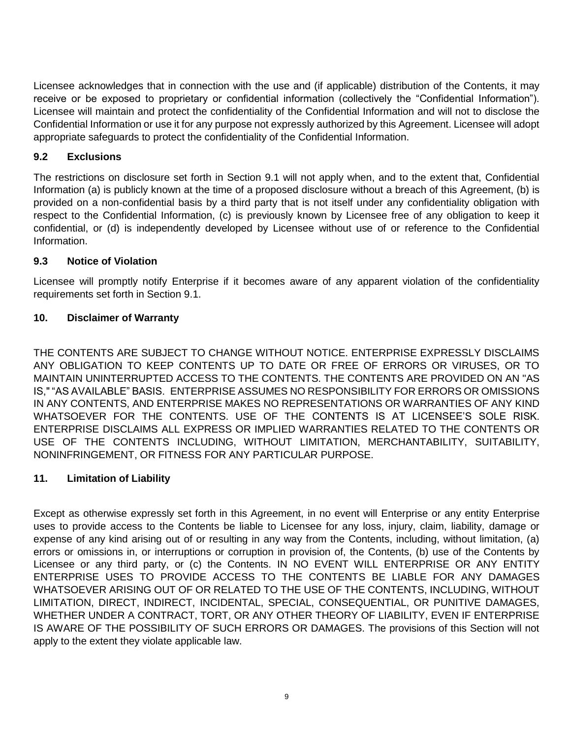Licensee acknowledges that in connection with the use and (if applicable) distribution of the Contents, it may receive or be exposed to proprietary or confidential information (collectively the "Confidential Information"). Licensee will maintain and protect the confidentiality of the Confidential Information and will not to disclose the Confidential Information or use it for any purpose not expressly authorized by this Agreement. Licensee will adopt appropriate safeguards to protect the confidentiality of the Confidential Information.

# **9.2 Exclusions**

The restrictions on disclosure set forth in Section 9.1 will not apply when, and to the extent that, Confidential Information (a) is publicly known at the time of a proposed disclosure without a breach of this Agreement, (b) is provided on a non-confidential basis by a third party that is not itself under any confidentiality obligation with respect to the Confidential Information, (c) is previously known by Licensee free of any obligation to keep it confidential, or (d) is independently developed by Licensee without use of or reference to the Confidential Information.

# **9.3 Notice of Violation**

Licensee will promptly notify Enterprise if it becomes aware of any apparent violation of the confidentiality requirements set forth in Section 9.1.

## **10. Disclaimer of Warranty**

THE CONTENTS ARE SUBJECT TO CHANGE WITHOUT NOTICE. ENTERPRISE EXPRESSLY DISCLAIMS ANY OBLIGATION TO KEEP CONTENTS UP TO DATE OR FREE OF ERRORS OR VIRUSES, OR TO MAINTAIN UNINTERRUPTED ACCESS TO THE CONTENTS. THE CONTENTS ARE PROVIDED ON AN "AS IS," "AS AVAILABLE" BASIS. ENTERPRISE ASSUMES NO RESPONSIBILITY FOR ERRORS OR OMISSIONS IN ANY CONTENTS, AND ENTERPRISE MAKES NO REPRESENTATIONS OR WARRANTIES OF ANY KIND WHATSOEVER FOR THE CONTENTS. USE OF THE CONTENTS IS AT LICENSEE'S SOLE RISK. ENTERPRISE DISCLAIMS ALL EXPRESS OR IMPLIED WARRANTIES RELATED TO THE CONTENTS OR USE OF THE CONTENTS INCLUDING, WITHOUT LIMITATION, MERCHANTABILITY, SUITABILITY, NONINFRINGEMENT, OR FITNESS FOR ANY PARTICULAR PURPOSE.

# **11. Limitation of Liability**

Except as otherwise expressly set forth in this Agreement, in no event will Enterprise or any entity Enterprise uses to provide access to the Contents be liable to Licensee for any loss, injury, claim, liability, damage or expense of any kind arising out of or resulting in any way from the Contents, including, without limitation, (a) errors or omissions in, or interruptions or corruption in provision of, the Contents, (b) use of the Contents by Licensee or any third party, or (c) the Contents. IN NO EVENT WILL ENTERPRISE OR ANY ENTITY ENTERPRISE USES TO PROVIDE ACCESS TO THE CONTENTS BE LIABLE FOR ANY DAMAGES WHATSOEVER ARISING OUT OF OR RELATED TO THE USE OF THE CONTENTS, INCLUDING, WITHOUT LIMITATION, DIRECT, INDIRECT, INCIDENTAL, SPECIAL, CONSEQUENTIAL, OR PUNITIVE DAMAGES, WHETHER UNDER A CONTRACT, TORT, OR ANY OTHER THEORY OF LIABILITY, EVEN IF ENTERPRISE IS AWARE OF THE POSSIBILITY OF SUCH ERRORS OR DAMAGES. The provisions of this Section will not apply to the extent they violate applicable law.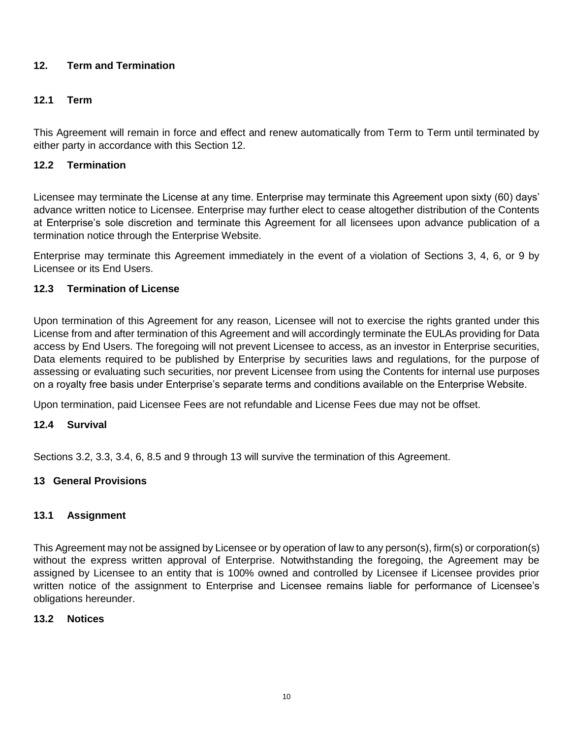## **12. Term and Termination**

## **12.1 Term**

This Agreement will remain in force and effect and renew automatically from Term to Term until terminated by either party in accordance with this Section 12.

### **12.2 Termination**

Licensee may terminate the License at any time. Enterprise may terminate this Agreement upon sixty (60) days' advance written notice to Licensee. Enterprise may further elect to cease altogether distribution of the Contents at Enterprise's sole discretion and terminate this Agreement for all licensees upon advance publication of a termination notice through the Enterprise Website.

Enterprise may terminate this Agreement immediately in the event of a violation of Sections 3, 4, 6, or 9 by Licensee or its End Users.

### **12.3 Termination of License**

Upon termination of this Agreement for any reason, Licensee will not to exercise the rights granted under this License from and after termination of this Agreement and will accordingly terminate the EULAs providing for Data access by End Users. The foregoing will not prevent Licensee to access, as an investor in Enterprise securities, Data elements required to be published by Enterprise by securities laws and regulations, for the purpose of assessing or evaluating such securities, nor prevent Licensee from using the Contents for internal use purposes on a royalty free basis under Enterprise's separate terms and conditions available on the Enterprise Website.

Upon termination, paid Licensee Fees are not refundable and License Fees due may not be offset.

### **12.4 Survival**

Sections 3.2, 3.3, 3.4, 6, 8.5 and 9 through 13 will survive the termination of this Agreement.

### **13 General Provisions**

### **13.1 Assignment**

This Agreement may not be assigned by Licensee or by operation of law to any person(s), firm(s) or corporation(s) without the express written approval of Enterprise. Notwithstanding the foregoing, the Agreement may be assigned by Licensee to an entity that is 100% owned and controlled by Licensee if Licensee provides prior written notice of the assignment to Enterprise and Licensee remains liable for performance of Licensee's obligations hereunder.

### **13.2 Notices**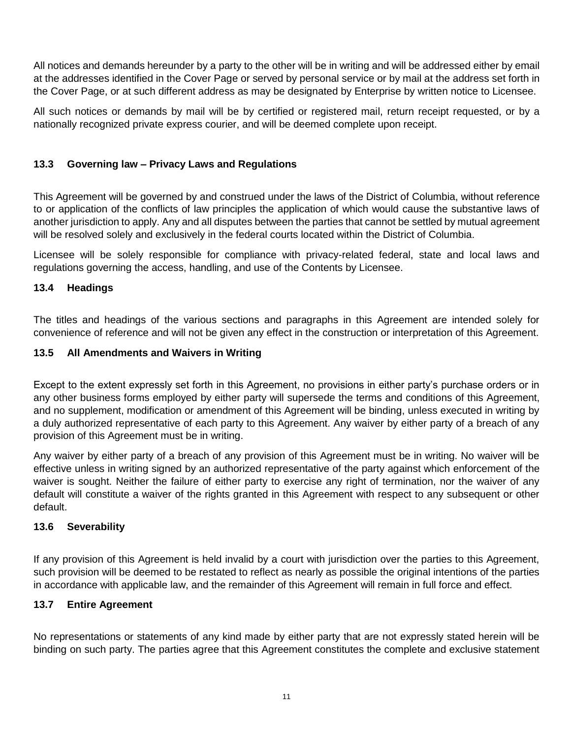All notices and demands hereunder by a party to the other will be in writing and will be addressed either by email at the addresses identified in the Cover Page or served by personal service or by mail at the address set forth in the Cover Page, or at such different address as may be designated by Enterprise by written notice to Licensee.

All such notices or demands by mail will be by certified or registered mail, return receipt requested, or by a nationally recognized private express courier, and will be deemed complete upon receipt.

## **13.3 Governing law – Privacy Laws and Regulations**

This Agreement will be governed by and construed under the laws of the District of Columbia, without reference to or application of the conflicts of law principles the application of which would cause the substantive laws of another jurisdiction to apply. Any and all disputes between the parties that cannot be settled by mutual agreement will be resolved solely and exclusively in the federal courts located within the District of Columbia.

Licensee will be solely responsible for compliance with privacy-related federal, state and local laws and regulations governing the access, handling, and use of the Contents by Licensee.

### **13.4 Headings**

The titles and headings of the various sections and paragraphs in this Agreement are intended solely for convenience of reference and will not be given any effect in the construction or interpretation of this Agreement.

### **13.5 All Amendments and Waivers in Writing**

Except to the extent expressly set forth in this Agreement, no provisions in either party's purchase orders or in any other business forms employed by either party will supersede the terms and conditions of this Agreement, and no supplement, modification or amendment of this Agreement will be binding, unless executed in writing by a duly authorized representative of each party to this Agreement. Any waiver by either party of a breach of any provision of this Agreement must be in writing.

Any waiver by either party of a breach of any provision of this Agreement must be in writing. No waiver will be effective unless in writing signed by an authorized representative of the party against which enforcement of the waiver is sought. Neither the failure of either party to exercise any right of termination, nor the waiver of any default will constitute a waiver of the rights granted in this Agreement with respect to any subsequent or other default.

### **13.6 Severability**

If any provision of this Agreement is held invalid by a court with jurisdiction over the parties to this Agreement, such provision will be deemed to be restated to reflect as nearly as possible the original intentions of the parties in accordance with applicable law, and the remainder of this Agreement will remain in full force and effect.

#### **13.7 Entire Agreement**

No representations or statements of any kind made by either party that are not expressly stated herein will be binding on such party. The parties agree that this Agreement constitutes the complete and exclusive statement